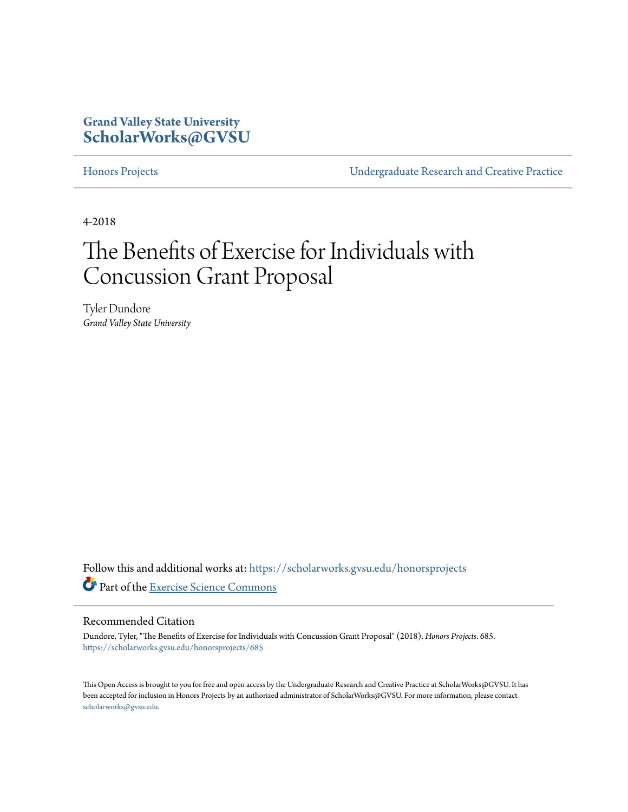# **Grand Valley State University [ScholarWorks@GVSU](https://scholarworks.gvsu.edu?utm_source=scholarworks.gvsu.edu%2Fhonorsprojects%2F685&utm_medium=PDF&utm_campaign=PDFCoverPages)**

[Honors Projects](https://scholarworks.gvsu.edu/honorsprojects?utm_source=scholarworks.gvsu.edu%2Fhonorsprojects%2F685&utm_medium=PDF&utm_campaign=PDFCoverPages) [Undergraduate Research and Creative Practice](https://scholarworks.gvsu.edu/urcp?utm_source=scholarworks.gvsu.edu%2Fhonorsprojects%2F685&utm_medium=PDF&utm_campaign=PDFCoverPages)

4-2018

# The Benefits of Exercise for Individuals with Concussion Grant Proposal

Tyler Dundore *Grand Valley State University*

Follow this and additional works at: [https://scholarworks.gvsu.edu/honorsprojects](https://scholarworks.gvsu.edu/honorsprojects?utm_source=scholarworks.gvsu.edu%2Fhonorsprojects%2F685&utm_medium=PDF&utm_campaign=PDFCoverPages) Part of the [Exercise Science Commons](http://network.bepress.com/hgg/discipline/1091?utm_source=scholarworks.gvsu.edu%2Fhonorsprojects%2F685&utm_medium=PDF&utm_campaign=PDFCoverPages)

#### Recommended Citation

Dundore, Tyler, "The Benefits of Exercise for Individuals with Concussion Grant Proposal" (2018). *Honors Projects*. 685. [https://scholarworks.gvsu.edu/honorsprojects/685](https://scholarworks.gvsu.edu/honorsprojects/685?utm_source=scholarworks.gvsu.edu%2Fhonorsprojects%2F685&utm_medium=PDF&utm_campaign=PDFCoverPages)

This Open Access is brought to you for free and open access by the Undergraduate Research and Creative Practice at ScholarWorks@GVSU. It has been accepted for inclusion in Honors Projects by an authorized administrator of ScholarWorks@GVSU. For more information, please contact [scholarworks@gvsu.edu](mailto:scholarworks@gvsu.edu).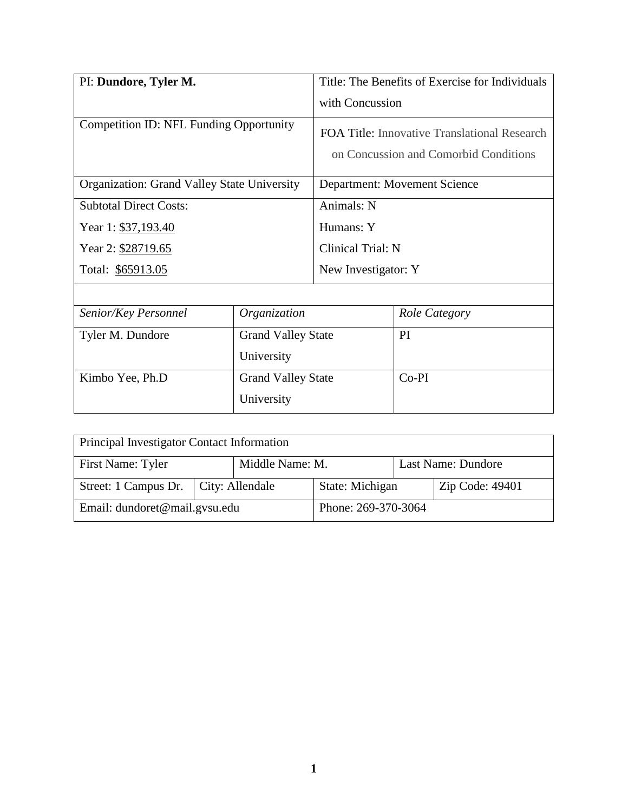| PI: Dundore, Tyler M.                              |                           | Title: The Benefits of Exercise for Individuals                                       |               |
|----------------------------------------------------|---------------------------|---------------------------------------------------------------------------------------|---------------|
|                                                    |                           | with Concussion                                                                       |               |
| <b>Competition ID: NFL Funding Opportunity</b>     |                           | FOA Title: Innovative Translational Research<br>on Concussion and Comorbid Conditions |               |
| <b>Organization: Grand Valley State University</b> |                           | Department: Movement Science                                                          |               |
| <b>Subtotal Direct Costs:</b>                      |                           | Animals: N                                                                            |               |
| Year 1: \$37,193.40                                |                           | Humans: Y                                                                             |               |
| Year 2: \$28719.65                                 |                           | Clinical Trial: N                                                                     |               |
| Total: \$65913.05                                  |                           | New Investigator: Y                                                                   |               |
|                                                    |                           |                                                                                       |               |
| Senior/Key Personnel                               | Organization              |                                                                                       | Role Category |
| Tyler M. Dundore                                   | <b>Grand Valley State</b> |                                                                                       | PI            |
|                                                    | University                |                                                                                       |               |
| Kimbo Yee, Ph.D                                    | <b>Grand Valley State</b> |                                                                                       | $Co-PI$       |
|                                                    | University                |                                                                                       |               |

| Principal Investigator Contact Information |  |                 |                     |                    |                 |
|--------------------------------------------|--|-----------------|---------------------|--------------------|-----------------|
| First Name: Tyler<br>Middle Name: M.       |  |                 |                     | Last Name: Dundore |                 |
| Street: 1 Campus Dr.   City: Allendale     |  | State: Michigan |                     |                    | Zip Code: 49401 |
| Email: dundoret@mail.gvsu.edu              |  |                 | Phone: 269-370-3064 |                    |                 |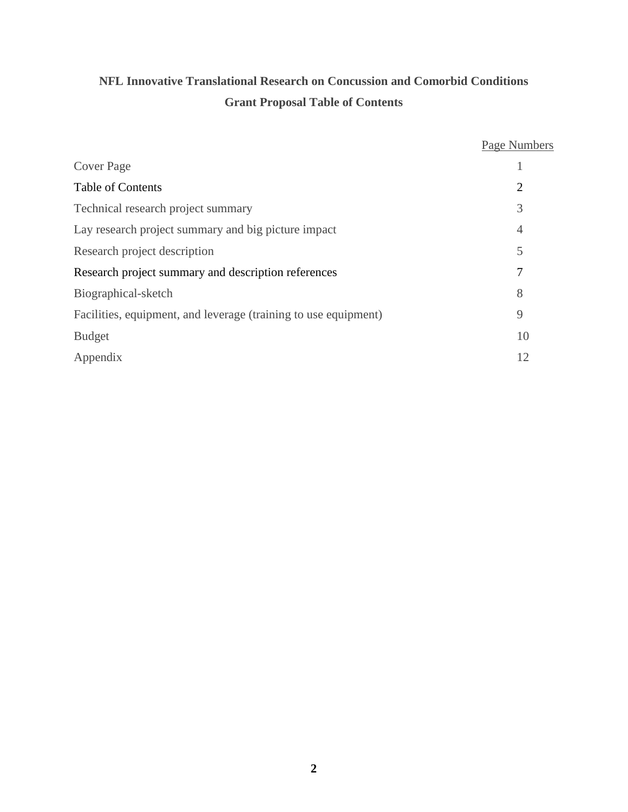# **NFL Innovative Translational Research on Concussion and Comorbid Conditions Grant Proposal Table of Contents**

|                                                                 | Page Numbers   |
|-----------------------------------------------------------------|----------------|
| <b>Cover Page</b>                                               |                |
| <b>Table of Contents</b>                                        | $\overline{2}$ |
| Technical research project summary                              | 3              |
| Lay research project summary and big picture impact             | $\overline{4}$ |
| Research project description                                    | 5              |
| Research project summary and description references             | 7              |
| Biographical-sketch                                             | 8              |
| Facilities, equipment, and leverage (training to use equipment) | 9              |
| <b>Budget</b>                                                   | 10             |
| Appendix                                                        | 12             |
|                                                                 |                |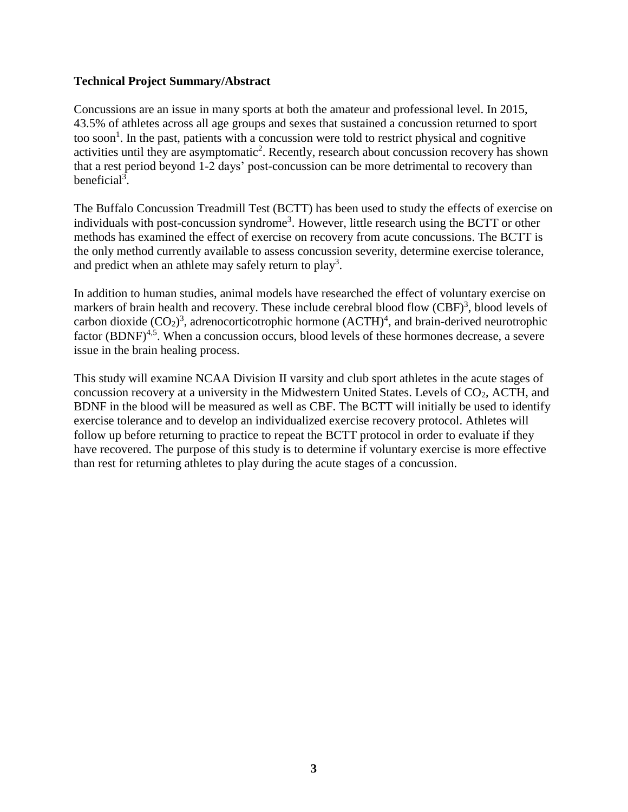# **Technical Project Summary/Abstract**

Concussions are an issue in many sports at both the amateur and professional level. In 2015, 43.5% of athletes across all age groups and sexes that sustained a concussion returned to sport too soon<sup>1</sup>. In the past, patients with a concussion were told to restrict physical and cognitive activities until they are asymptomatic<sup>2</sup>. Recently, research about concussion recovery has shown that a rest period beyond 1-2 days' post-concussion can be more detrimental to recovery than beneficial<sup>3</sup>.

The Buffalo Concussion Treadmill Test (BCTT) has been used to study the effects of exercise on individuals with post-concussion syndrome<sup>3</sup>. However, little research using the BCTT or other methods has examined the effect of exercise on recovery from acute concussions. The BCTT is the only method currently available to assess concussion severity, determine exercise tolerance, and predict when an athlete may safely return to  $play<sup>3</sup>$ .

In addition to human studies, animal models have researched the effect of voluntary exercise on markers of brain health and recovery. These include cerebral blood flow  $(CBF)^3$ , blood levels of carbon dioxide  $(CO_2)^3$ , adrenocorticotrophic hormone  $(ACTH)^4$ , and brain-derived neurotrophic factor (BDNF)<sup>4,5</sup>. When a concussion occurs, blood levels of these hormones decrease, a severe issue in the brain healing process.

This study will examine NCAA Division II varsity and club sport athletes in the acute stages of concussion recovery at a university in the Midwestern United States. Levels of  $CO<sub>2</sub>$ , ACTH, and BDNF in the blood will be measured as well as CBF. The BCTT will initially be used to identify exercise tolerance and to develop an individualized exercise recovery protocol. Athletes will follow up before returning to practice to repeat the BCTT protocol in order to evaluate if they have recovered. The purpose of this study is to determine if voluntary exercise is more effective than rest for returning athletes to play during the acute stages of a concussion.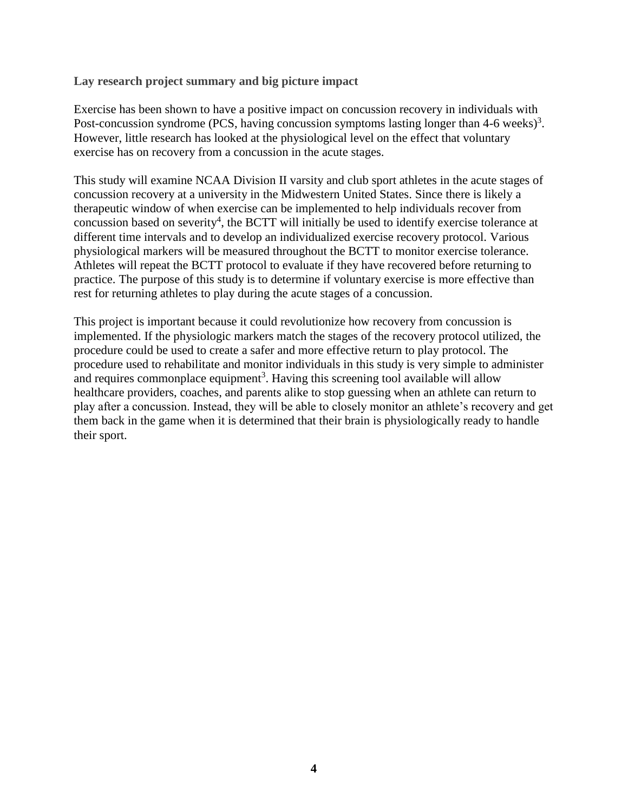## **Lay research project summary and big picture impact**

Exercise has been shown to have a positive impact on concussion recovery in individuals with Post-concussion syndrome (PCS, having concussion symptoms lasting longer than  $4-6$  weeks)<sup>3</sup>. However, little research has looked at the physiological level on the effect that voluntary exercise has on recovery from a concussion in the acute stages.

This study will examine NCAA Division II varsity and club sport athletes in the acute stages of concussion recovery at a university in the Midwestern United States. Since there is likely a therapeutic window of when exercise can be implemented to help individuals recover from concussion based on severity<sup>4</sup>, the BCTT will initially be used to identify exercise tolerance at different time intervals and to develop an individualized exercise recovery protocol. Various physiological markers will be measured throughout the BCTT to monitor exercise tolerance. Athletes will repeat the BCTT protocol to evaluate if they have recovered before returning to practice. The purpose of this study is to determine if voluntary exercise is more effective than rest for returning athletes to play during the acute stages of a concussion.

This project is important because it could revolutionize how recovery from concussion is implemented. If the physiologic markers match the stages of the recovery protocol utilized, the procedure could be used to create a safer and more effective return to play protocol. The procedure used to rehabilitate and monitor individuals in this study is very simple to administer and requires commonplace equipment<sup>3</sup>. Having this screening tool available will allow healthcare providers, coaches, and parents alike to stop guessing when an athlete can return to play after a concussion. Instead, they will be able to closely monitor an athlete's recovery and get them back in the game when it is determined that their brain is physiologically ready to handle their sport.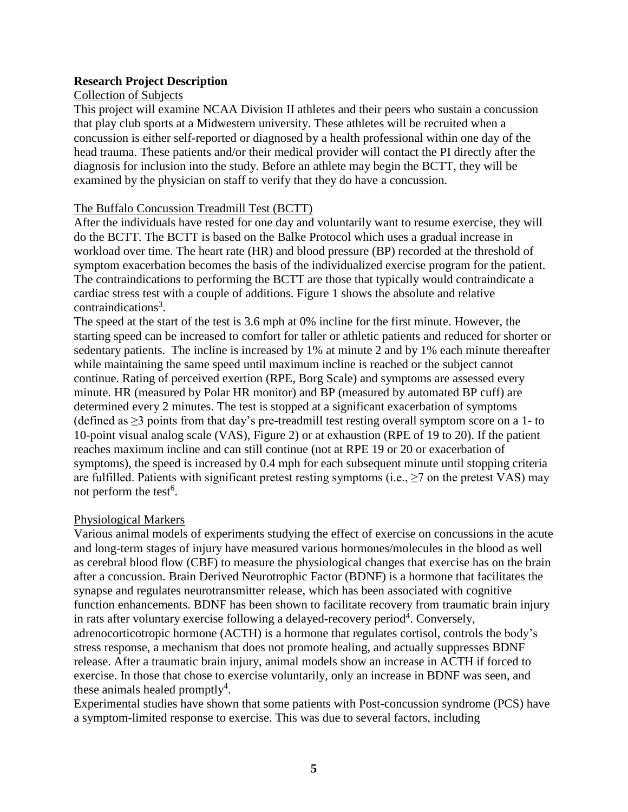# **Research Project Description**

## Collection of Subjects

This project will examine NCAA Division II athletes and their peers who sustain a concussion that play club sports at a Midwestern university. These athletes will be recruited when a concussion is either self-reported or diagnosed by a health professional within one day of the head trauma. These patients and/or their medical provider will contact the PI directly after the diagnosis for inclusion into the study. Before an athlete may begin the BCTT, they will be examined by the physician on staff to verify that they do have a concussion.

### The Buffalo Concussion Treadmill Test (BCTT)

After the individuals have rested for one day and voluntarily want to resume exercise, they will do the BCTT. The BCTT is based on the Balke Protocol which uses a gradual increase in workload over time. The heart rate (HR) and blood pressure (BP) recorded at the threshold of symptom exacerbation becomes the basis of the individualized exercise program for the patient. The contraindications to performing the BCTT are those that typically would contraindicate a cardiac stress test with a couple of additions. Figure 1 shows the absolute and relative contraindications<sup>3</sup>.

The speed at the start of the test is 3.6 mph at 0% incline for the first minute. However, the starting speed can be increased to comfort for taller or athletic patients and reduced for shorter or sedentary patients. The incline is increased by 1% at minute 2 and by 1% each minute thereafter while maintaining the same speed until maximum incline is reached or the subject cannot continue. Rating of perceived exertion (RPE, Borg Scale) and symptoms are assessed every minute. HR (measured by Polar HR monitor) and BP (measured by automated BP cuff) are determined every 2 minutes. The test is stopped at a significant exacerbation of symptoms (defined as  $\geq$ 3 points from that day's pre-treadmill test resting overall symptom score on a 1- to 10-point visual analog scale (VAS), Figure 2) or at exhaustion (RPE of 19 to 20). If the patient reaches maximum incline and can still continue (not at RPE 19 or 20 or exacerbation of symptoms), the speed is increased by 0.4 mph for each subsequent minute until stopping criteria are fulfilled. Patients with significant pretest resting symptoms (i.e.,  $\geq$ 7 on the pretest VAS) may not perform the test<sup>6</sup>.

# Physiological Markers

Various animal models of experiments studying the effect of exercise on concussions in the acute and long-term stages of injury have measured various hormones/molecules in the blood as well as cerebral blood flow (CBF) to measure the physiological changes that exercise has on the brain after a concussion. Brain Derived Neurotrophic Factor (BDNF) is a hormone that facilitates the synapse and regulates neurotransmitter release, which has been associated with cognitive function enhancements. BDNF has been shown to facilitate recovery from traumatic brain injury in rats after voluntary exercise following a delayed-recovery period<sup>4</sup>. Conversely, adrenocorticotropic hormone (ACTH) is a hormone that regulates cortisol, controls the body's stress response, a mechanism that does not promote healing, and actually suppresses BDNF release. After a traumatic brain injury, animal models show an increase in ACTH if forced to exercise. In those that chose to exercise voluntarily, only an increase in BDNF was seen, and these animals healed promptly<sup>4</sup>.

Experimental studies have shown that some patients with Post-concussion syndrome (PCS) have a symptom-limited response to exercise. This was due to several factors, including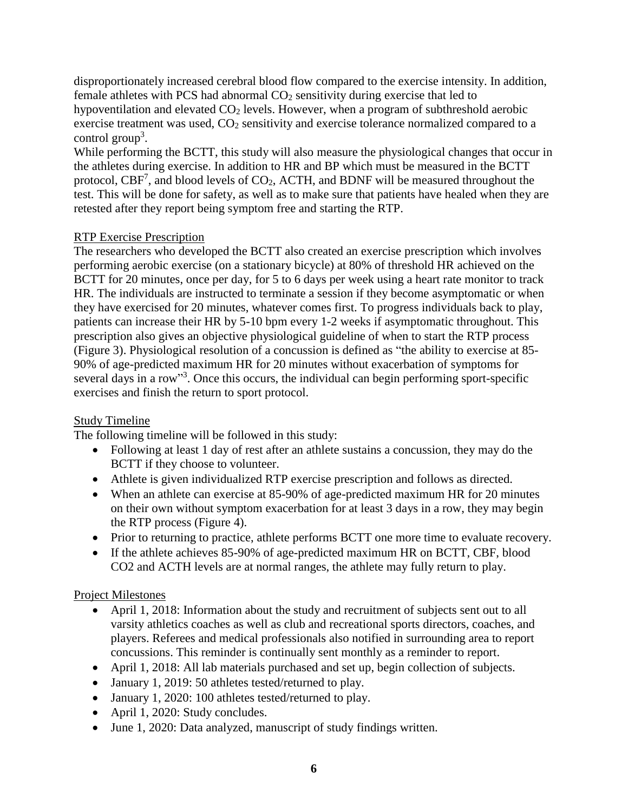disproportionately increased cerebral blood flow compared to the exercise intensity. In addition, female athletes with PCS had abnormal  $CO<sub>2</sub>$  sensitivity during exercise that led to hypoventilation and elevated  $CO<sub>2</sub>$  levels. However, when a program of subthreshold aerobic exercise treatment was used,  $CO<sub>2</sub>$  sensitivity and exercise tolerance normalized compared to a control group<sup>3</sup>.

While performing the BCTT, this study will also measure the physiological changes that occur in the athletes during exercise. In addition to HR and BP which must be measured in the BCTT protocol,  $CBF<sup>7</sup>$ , and blood levels of  $CO<sub>2</sub>$ , ACTH, and BDNF will be measured throughout the test. This will be done for safety, as well as to make sure that patients have healed when they are retested after they report being symptom free and starting the RTP.

# RTP Exercise Prescription

The researchers who developed the BCTT also created an exercise prescription which involves performing aerobic exercise (on a stationary bicycle) at 80% of threshold HR achieved on the BCTT for 20 minutes, once per day, for 5 to 6 days per week using a heart rate monitor to track HR. The individuals are instructed to terminate a session if they become asymptomatic or when they have exercised for 20 minutes, whatever comes first. To progress individuals back to play, patients can increase their HR by 5-10 bpm every 1-2 weeks if asymptomatic throughout. This prescription also gives an objective physiological guideline of when to start the RTP process (Figure 3). Physiological resolution of a concussion is defined as "the ability to exercise at 85- 90% of age-predicted maximum HR for 20 minutes without exacerbation of symptoms for several days in a row"<sup>3</sup>. Once this occurs, the individual can begin performing sport-specific exercises and finish the return to sport protocol.

# Study Timeline

The following timeline will be followed in this study:

- Following at least 1 day of rest after an athlete sustains a concussion, they may do the BCTT if they choose to volunteer.
- Athlete is given individualized RTP exercise prescription and follows as directed.
- When an athlete can exercise at 85-90% of age-predicted maximum HR for 20 minutes on their own without symptom exacerbation for at least 3 days in a row, they may begin the RTP process (Figure 4).
- Prior to returning to practice, athlete performs BCTT one more time to evaluate recovery.
- If the athlete achieves 85-90% of age-predicted maximum HR on BCTT, CBF, blood CO2 and ACTH levels are at normal ranges, the athlete may fully return to play.

# Project Milestones

- April 1, 2018: Information about the study and recruitment of subjects sent out to all varsity athletics coaches as well as club and recreational sports directors, coaches, and players. Referees and medical professionals also notified in surrounding area to report concussions. This reminder is continually sent monthly as a reminder to report.
- April 1, 2018: All lab materials purchased and set up, begin collection of subjects.
- January 1, 2019: 50 athletes tested/returned to play.
- January 1, 2020: 100 athletes tested/returned to play.
- April 1, 2020: Study concludes.
- June 1, 2020: Data analyzed, manuscript of study findings written.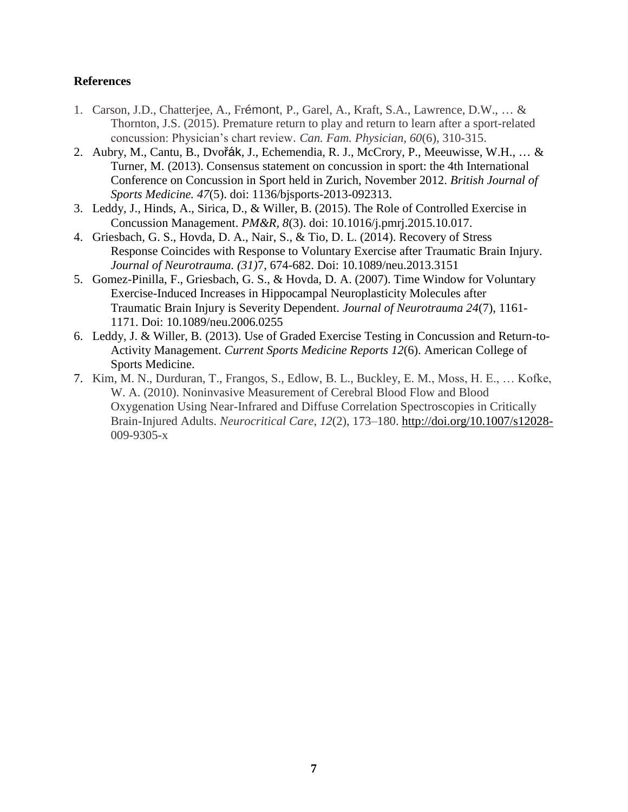# **References**

- 1. Carson, J.D., Chatterjee, A., Frémont, P., Garel, A., Kraft, S.A., Lawrence, D.W., … & Thornton, J.S. (2015). Premature return to play and return to learn after a sport-related concussion: Physician's chart review. *Can. Fam. Physician, 60*(6), 310-315.
- 2. Aubry, M., Cantu, B., Dvořák, J., Echemendia, R. J., McCrory, P., Meeuwisse, W.H., … & Turner, M. (2013). Consensus statement on concussion in sport: the 4th International Conference on Concussion in Sport held in Zurich, November 2012. *British Journal of Sports Medicine. 47*(5). doi: 1136/bjsports-2013-092313.
- 3. Leddy, J., Hinds, A., Sirica, D., & Willer, B. (2015). The Role of Controlled Exercise in Concussion Management. *PM&R, 8*(3). doi: 10.1016/j.pmrj.2015.10.017.
- 4. Griesbach, G. S., Hovda, D. A., Nair, S., & Tio, D. L. (2014). Recovery of Stress Response Coincides with Response to Voluntary Exercise after Traumatic Brain Injury. *Journal of Neurotrauma. (31)*7, 674-682. Doi: 10.1089/neu.2013.3151
- 5. Gomez-Pinilla, F., Griesbach, G. S., & Hovda, D. A. (2007). Time Window for Voluntary Exercise-Induced Increases in Hippocampal Neuroplasticity Molecules after Traumatic Brain Injury is Severity Dependent. *Journal of Neurotrauma 24*(7), 1161- 1171. Doi: 10.1089/neu.2006.0255
- 6. Leddy, J. & Willer, B. (2013). Use of Graded Exercise Testing in Concussion and Return-to-Activity Management. *Current Sports Medicine Reports 12*(6). American College of Sports Medicine.
- 7. Kim, M. N., Durduran, T., Frangos, S., Edlow, B. L., Buckley, E. M., Moss, H. E., … Kofke, W. A. (2010). Noninvasive Measurement of Cerebral Blood Flow and Blood Oxygenation Using Near-Infrared and Diffuse Correlation Spectroscopies in Critically Brain-Injured Adults. *Neurocritical Care*, *12*(2), 173–180.<http://doi.org/10.1007/s12028-> 009-9305-x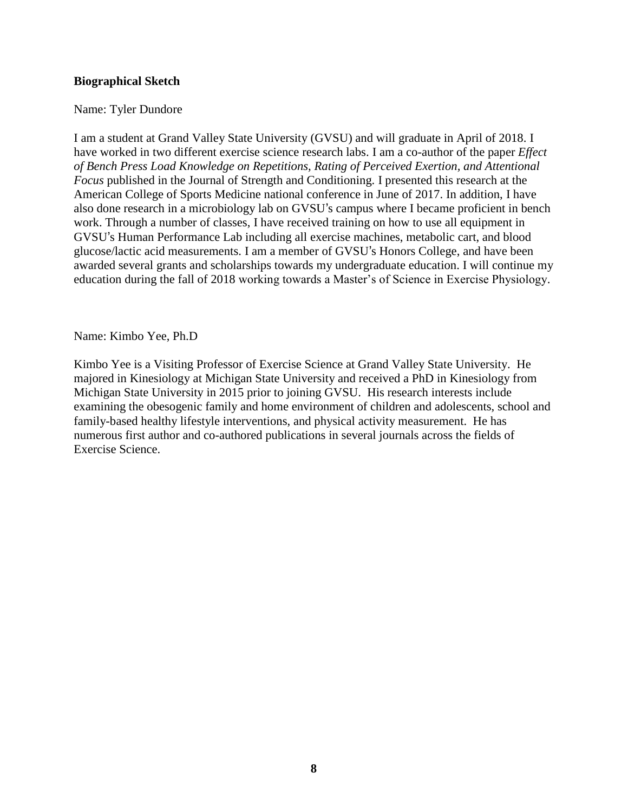# **Biographical Sketch**

# Name: Tyler Dundore

I am a student at Grand Valley State University (GVSU) and will graduate in April of 2018. I have worked in two different exercise science research labs. I am a co-author of the paper *Effect of Bench Press Load Knowledge on Repetitions, Rating of Perceived Exertion, and Attentional Focus* published in the Journal of Strength and Conditioning. I presented this research at the American College of Sports Medicine national conference in June of 2017. In addition, I have also done research in a microbiology lab on GVSU's campus where I became proficient in bench work. Through a number of classes, I have received training on how to use all equipment in GVSU's Human Performance Lab including all exercise machines, metabolic cart, and blood glucose/lactic acid measurements. I am a member of GVSU's Honors College, and have been awarded several grants and scholarships towards my undergraduate education. I will continue my education during the fall of 2018 working towards a Master's of Science in Exercise Physiology.

Name: Kimbo Yee, Ph.D

Kimbo Yee is a Visiting Professor of Exercise Science at Grand Valley State University. He majored in Kinesiology at Michigan State University and received a PhD in Kinesiology from Michigan State University in 2015 prior to joining GVSU. His research interests include examining the obesogenic family and home environment of children and adolescents, school and family-based healthy lifestyle interventions, and physical activity measurement. He has numerous first author and co-authored publications in several journals across the fields of Exercise Science.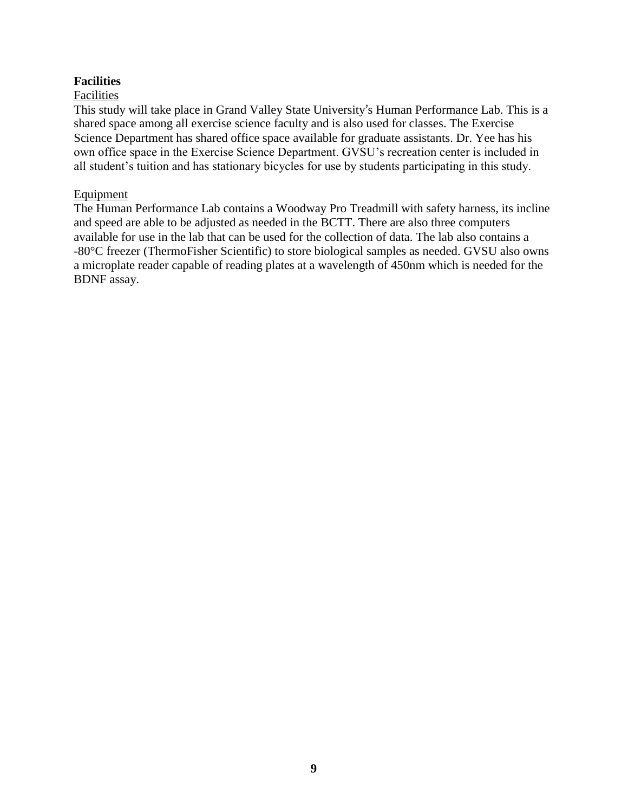# **Facilities**

# Facilities

This study will take place in Grand Valley State University's Human Performance Lab. This is a shared space among all exercise science faculty and is also used for classes. The Exercise Science Department has shared office space available for graduate assistants. Dr. Yee has his own office space in the Exercise Science Department. GVSU's recreation center is included in all student's tuition and has stationary bicycles for use by students participating in this study.

# Equipment

The Human Performance Lab contains a Woodway Pro Treadmill with safety harness, its incline and speed are able to be adjusted as needed in the BCTT. There are also three computers available for use in the lab that can be used for the collection of data. The lab also contains a -80°C freezer (ThermoFisher Scientific) to store biological samples as needed. GVSU also owns a microplate reader capable of reading plates at a wavelength of 450nm which is needed for the BDNF assay.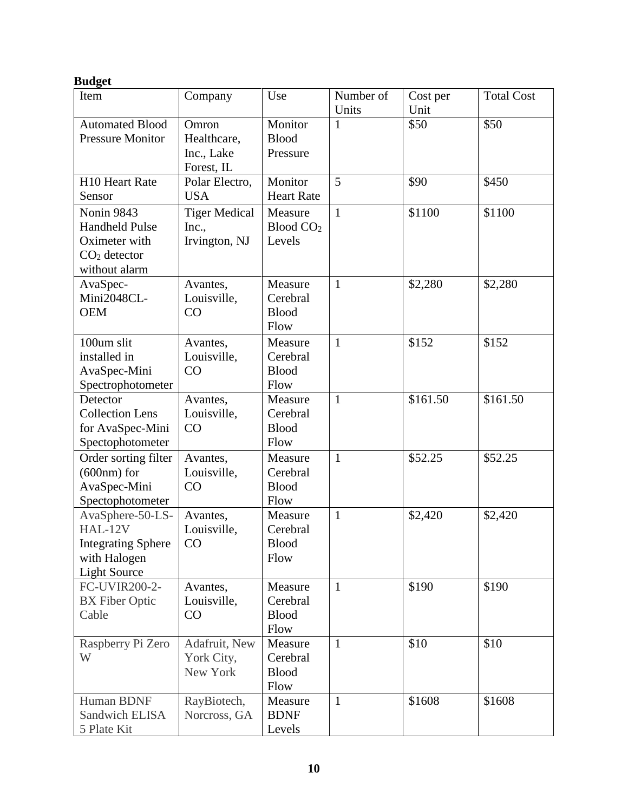# **Budget**

| Item                                                                                            | Company                                        | Use                                         | Number of<br>Units | Cost per<br>Unit | <b>Total Cost</b> |
|-------------------------------------------------------------------------------------------------|------------------------------------------------|---------------------------------------------|--------------------|------------------|-------------------|
| <b>Automated Blood</b><br><b>Pressure Monitor</b>                                               | Omron<br>Healthcare,<br>Inc., Lake             | Monitor<br><b>Blood</b><br>Pressure         | 1                  | \$50             | \$50              |
|                                                                                                 | Forest, IL                                     |                                             |                    |                  |                   |
| H10 Heart Rate<br>Sensor                                                                        | Polar Electro,<br><b>USA</b>                   | Monitor<br><b>Heart Rate</b>                | 5                  | \$90             | \$450             |
| Nonin 9843<br><b>Handheld Pulse</b><br>Oximeter with<br>$CO2$ detector<br>without alarm         | <b>Tiger Medical</b><br>Inc.,<br>Irvington, NJ | Measure<br>Blood CO <sub>2</sub><br>Levels  | $\mathbf{1}$       | \$1100           | \$1100            |
| AvaSpec-<br>Mini2048CL-<br><b>OEM</b>                                                           | Avantes,<br>Louisville,<br>CO                  | Measure<br>Cerebral<br><b>Blood</b><br>Flow | $\mathbf{1}$       | \$2,280          | \$2,280           |
| 100um slit<br>installed in<br>AvaSpec-Mini<br>Spectrophotometer                                 | Avantes,<br>Louisville,<br>CO                  | Measure<br>Cerebral<br><b>Blood</b><br>Flow | $\mathbf{1}$       | \$152            | \$152             |
| Detector<br><b>Collection Lens</b><br>for AvaSpec-Mini<br>Spectophotometer                      | Avantes,<br>Louisville,<br>CO                  | Measure<br>Cerebral<br><b>Blood</b><br>Flow | $\mathbf{1}$       | \$161.50         | \$161.50          |
| Order sorting filter<br>$(600nm)$ for<br>AvaSpec-Mini<br>Spectophotometer                       | Avantes,<br>Louisville,<br>CO                  | Measure<br>Cerebral<br><b>Blood</b><br>Flow | $\mathbf{1}$       | \$52.25          | \$52.25           |
| AvaSphere-50-LS-<br>HAL-12V<br><b>Integrating Sphere</b><br>with Halogen<br><b>Light Source</b> | Avantes,<br>Louisville,<br>CO                  | Measure<br>Cerebral<br><b>Blood</b><br>Flow | $\mathbf{1}$       | \$2,420          | \$2,420           |
| FC-UVIR200-2-<br><b>BX</b> Fiber Optic<br>Cable                                                 | Avantes,<br>Louisville,<br>CO                  | Measure<br>Cerebral<br><b>Blood</b><br>Flow | $\mathbf{1}$       | \$190            | \$190             |
| Raspberry Pi Zero<br>W                                                                          | Adafruit, New<br>York City,<br>New York        | Measure<br>Cerebral<br><b>Blood</b><br>Flow | $\mathbf{1}$       | \$10             | \$10              |
| Human BDNF<br>Sandwich ELISA<br>5 Plate Kit                                                     | RayBiotech,<br>Norcross, GA                    | Measure<br><b>BDNF</b><br>Levels            | $\mathbf{1}$       | \$1608           | \$1608            |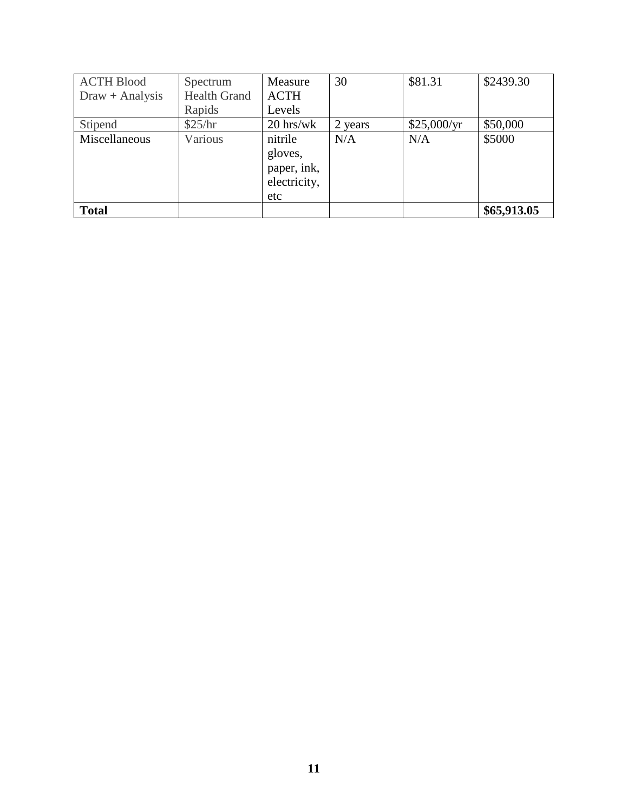| <b>ACTH Blood</b> | Spectrum            | Measure                                                  | 30      | \$81.31     | \$2439.30   |
|-------------------|---------------------|----------------------------------------------------------|---------|-------------|-------------|
| $Draw + Analysis$ | <b>Health Grand</b> | <b>ACTH</b>                                              |         |             |             |
|                   | Rapids              | Levels                                                   |         |             |             |
| Stipend           | \$25/hr             | $20$ hrs/wk                                              | 2 years | \$25,000/yr | \$50,000    |
| Miscellaneous     | Various             | nitrile<br>gloves,<br>paper, ink,<br>electricity,<br>etc | N/A     | N/A         | \$5000      |
| <b>Total</b>      |                     |                                                          |         |             | \$65,913.05 |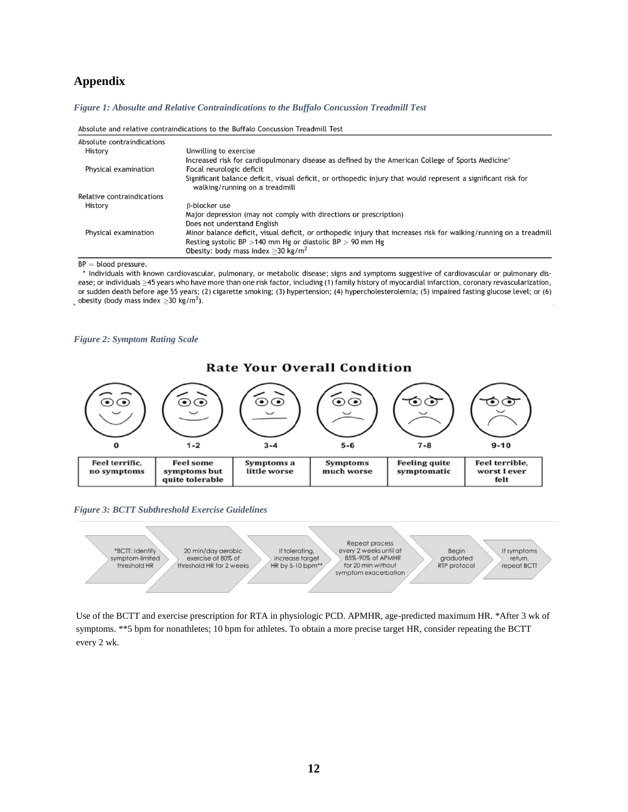# **Appendix**

*Figure 1: Abosulte and Relative Contraindications to the Buffalo Concussion Treadmill Test*

|                            | ADSOLULE and relative contraindications to the buriald concussion freadmilt rest                                                                                                                                                          |
|----------------------------|-------------------------------------------------------------------------------------------------------------------------------------------------------------------------------------------------------------------------------------------|
| Absolute contraindications |                                                                                                                                                                                                                                           |
| History                    | Unwilling to exercise                                                                                                                                                                                                                     |
|                            | Increased risk for cardiopulmonary disease as defined by the American College of Sports Medicine*                                                                                                                                         |
| Physical examination       | Focal neurologic deficit                                                                                                                                                                                                                  |
|                            | Significant balance deficit, visual deficit, or orthopedic injury that would represent a significant risk for<br>walking/running on a treadmill                                                                                           |
| Relative contraindications |                                                                                                                                                                                                                                           |
| History                    | B-blocker use                                                                                                                                                                                                                             |
|                            | Major depression (may not comply with directions or prescription)                                                                                                                                                                         |
|                            | Does not understand English                                                                                                                                                                                                               |
| Physical examination       | Minor balance deficit, visual deficit, or orthopedic injury that increases risk for walking/running on a treadmill<br>Resting systolic BP $>$ 140 mm Hg or diastolic BP $>$ 90 mm Hg<br>Obesity: body mass index $>$ 30 kg/m <sup>2</sup> |

Absolute and relative contraindications to the Buffale Consussion Treadmill Test

 $BP = blood pressure.$ 

\* Individuals with known cardiovascular, pulmonary, or metabolic disease; signs and symptoms suggestive of cardiovascular or pulmonary disease; or individuals ≥45 years who have more than one risk factor, including (1) family history of myocardial infarction, coronary revascularization, or sudden death before age 55 years; (2) cigarette smoking; (3) hypertension; (4) hypercholesterolemia; (5) impaired fasting glucose level; or (6) obesity (body mass index  $\geq$  30 kg/m<sup>2</sup>).

#### *Figure 2: Symptom Rating Scale*







Use of the BCTT and exercise prescription for RTA in physiologic PCD. APMHR, age-predicted maximum HR. \*After 3 wk of symptoms. \*\*5 bpm for nonathletes; 10 bpm for athletes. To obtain a more precise target HR, consider repeating the BCTT every 2 wk.